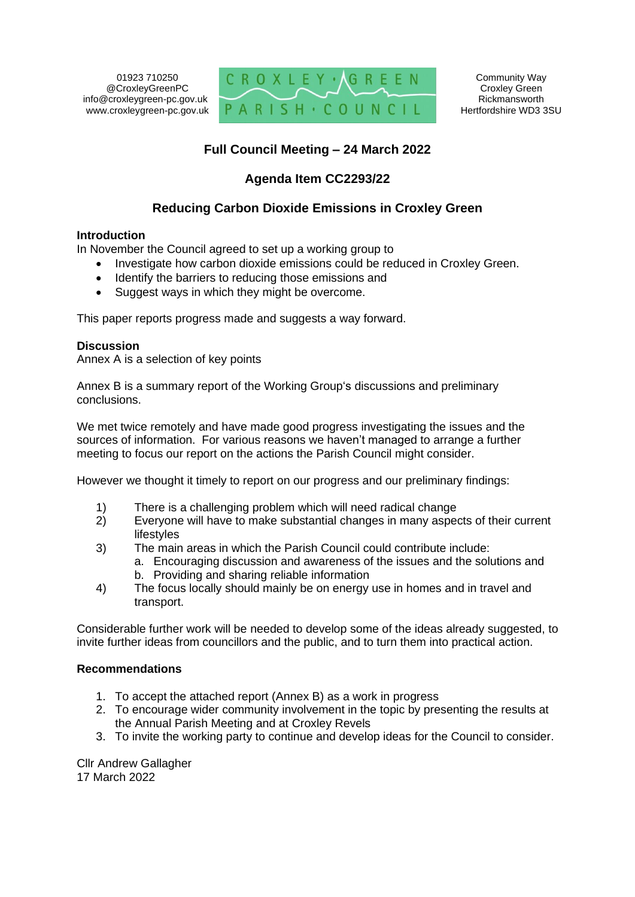01923 710250 @CroxleyGreenPC info@croxleygreen-pc.gov.uk www.croxleygreen-pc.gov.uk



## **Full Council Meeting – 24 March 2022**

## **Agenda Item CC2293/22**

## **Reducing Carbon Dioxide Emissions in Croxley Green**

#### **Introduction**

In November the Council agreed to set up a working group to

- Investigate how carbon dioxide emissions could be reduced in Croxley Green.
- Identify the barriers to reducing those emissions and
- Suggest ways in which they might be overcome.

This paper reports progress made and suggests a way forward.

#### **Discussion**

Annex A is a selection of key points

Annex B is a summary report of the Working Group's discussions and preliminary conclusions.

We met twice remotely and have made good progress investigating the issues and the sources of information. For various reasons we haven't managed to arrange a further meeting to focus our report on the actions the Parish Council might consider.

However we thought it timely to report on our progress and our preliminary findings:

- 1) There is a challenging problem which will need radical change
- 2) Everyone will have to make substantial changes in many aspects of their current lifestyles
- 3) The main areas in which the Parish Council could contribute include:
	- a. Encouraging discussion and awareness of the issues and the solutions and
		- b. Providing and sharing reliable information
- 4) The focus locally should mainly be on energy use in homes and in travel and transport.

Considerable further work will be needed to develop some of the ideas already suggested, to invite further ideas from councillors and the public, and to turn them into practical action.

#### **Recommendations**

- 1. To accept the attached report (Annex B) as a work in progress
- 2. To encourage wider community involvement in the topic by presenting the results at the Annual Parish Meeting and at Croxley Revels
- 3. To invite the working party to continue and develop ideas for the Council to consider.

Cllr Andrew Gallagher 17 March 2022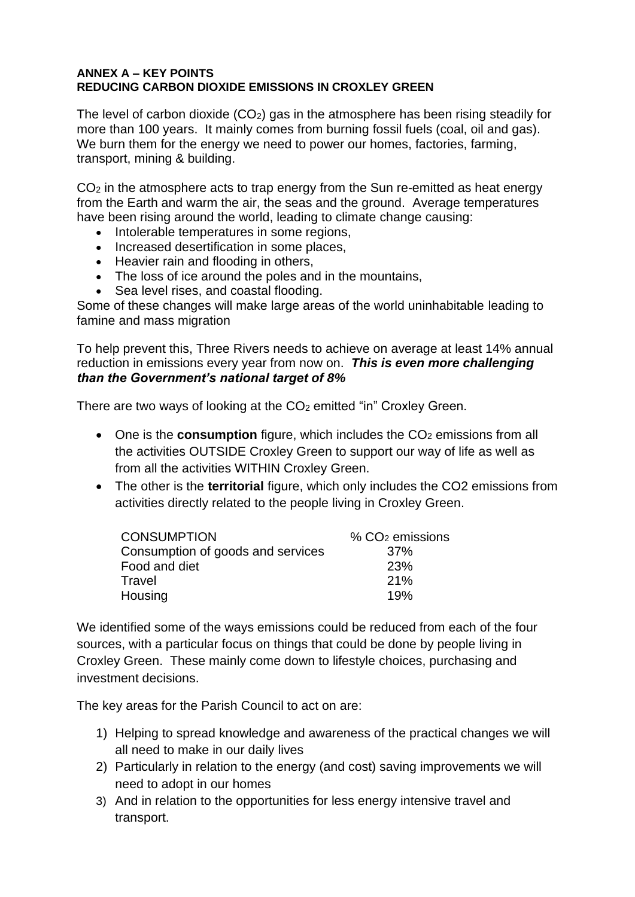#### **ANNEX A – KEY POINTS REDUCING CARBON DIOXIDE EMISSIONS IN CROXLEY GREEN**

The level of carbon dioxide (CO2) gas in the atmosphere has been rising steadily for more than 100 years. It mainly comes from burning fossil fuels (coal, oil and gas). We burn them for the energy we need to power our homes, factories, farming, transport, mining & building.

CO<sup>2</sup> in the atmosphere acts to trap energy from the Sun re-emitted as heat energy from the Earth and warm the air, the seas and the ground. Average temperatures have been rising around the world, leading to climate change causing:

- Intolerable temperatures in some regions,
- Increased desertification in some places,
- Heavier rain and flooding in others,
- The loss of ice around the poles and in the mountains,
- Sea level rises, and coastal flooding.

Some of these changes will make large areas of the world uninhabitable leading to famine and mass migration

To help prevent this, Three Rivers needs to achieve on average at least 14% annual reduction in emissions every year from now on. *This is even more challenging than the Government's national target of 8%*

There are two ways of looking at the CO<sub>2</sub> emitted "in" Croxley Green.

- One is the **consumption** figure, which includes the CO<sub>2</sub> emissions from all the activities OUTSIDE Croxley Green to support our way of life as well as from all the activities WITHIN Croxley Green.
- The other is the **territorial** figure, which only includes the CO2 emissions from activities directly related to the people living in Croxley Green.

| <b>CONSUMPTION</b>                | $% CO2$ emissions |
|-----------------------------------|-------------------|
| Consumption of goods and services | $.37\%$           |
| Food and diet                     | <b>23%</b>        |
| Travel                            | 21%               |
| Housing                           | 19%               |

We identified some of the ways emissions could be reduced from each of the four sources, with a particular focus on things that could be done by people living in Croxley Green. These mainly come down to lifestyle choices, purchasing and investment decisions.

The key areas for the Parish Council to act on are:

- 1) Helping to spread knowledge and awareness of the practical changes we will all need to make in our daily lives
- 2) Particularly in relation to the energy (and cost) saving improvements we will need to adopt in our homes
- 3) And in relation to the opportunities for less energy intensive travel and transport.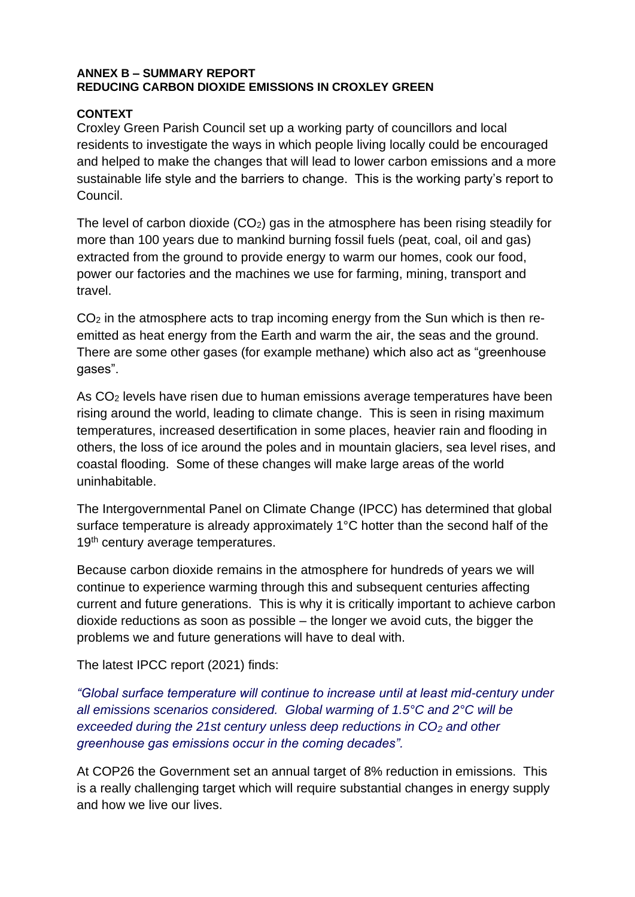#### **ANNEX B – SUMMARY REPORT REDUCING CARBON DIOXIDE EMISSIONS IN CROXLEY GREEN**

### **CONTEXT**

Croxley Green Parish Council set up a working party of councillors and local residents to investigate the ways in which people living locally could be encouraged and helped to make the changes that will lead to lower carbon emissions and a more sustainable life style and the barriers to change. This is the working party's report to Council.

The level of carbon dioxide (CO2) gas in the atmosphere has been rising steadily for more than 100 years due to mankind burning fossil fuels (peat, coal, oil and gas) extracted from the ground to provide energy to warm our homes, cook our food, power our factories and the machines we use for farming, mining, transport and travel.

CO<sup>2</sup> in the atmosphere acts to trap incoming energy from the Sun which is then reemitted as heat energy from the Earth and warm the air, the seas and the ground. There are some other gases (for example methane) which also act as "greenhouse gases".

As CO<sup>2</sup> levels have risen due to human emissions average temperatures have been rising around the world, leading to climate change. This is seen in rising maximum temperatures, increased desertification in some places, heavier rain and flooding in others, the loss of ice around the poles and in mountain glaciers, sea level rises, and coastal flooding. Some of these changes will make large areas of the world uninhabitable.

The Intergovernmental Panel on Climate Change (IPCC) has determined that global surface temperature is already approximately 1°C hotter than the second half of the 19<sup>th</sup> century average temperatures.

Because carbon dioxide remains in the atmosphere for hundreds of years we will continue to experience warming through this and subsequent centuries affecting current and future generations. This is why it is critically important to achieve carbon dioxide reductions as soon as possible – the longer we avoid cuts, the bigger the problems we and future generations will have to deal with.

The latest IPCC report (2021) finds:

*"Global surface temperature will continue to increase until at least mid-century under all emissions scenarios considered. Global warming of 1.5°C and 2°C will be exceeded during the 21st century unless deep reductions in CO<sup>2</sup> and other greenhouse gas emissions occur in the coming decades".* 

At COP26 the Government set an annual target of 8% reduction in emissions. This is a really challenging target which will require substantial changes in energy supply and how we live our lives.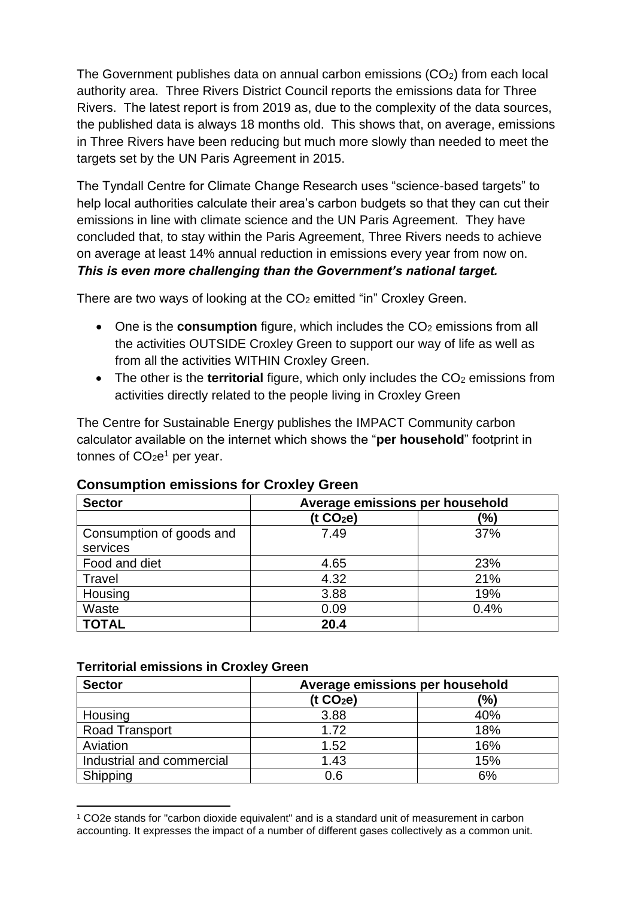The Government publishes data on annual carbon emissions  $(CO<sub>2</sub>)$  from each local authority area. Three Rivers District Council reports the emissions data for Three Rivers. The latest report is from 2019 as, due to the complexity of the data sources, the published data is always 18 months old. This shows that, on average, emissions in Three Rivers have been reducing but much more slowly than needed to meet the targets set by the UN Paris Agreement in 2015.

The Tyndall Centre for Climate Change Research uses "science-based targets" to help local authorities calculate their area's carbon budgets so that they can cut their emissions in line with climate science and the UN Paris Agreement. They have concluded that, to stay within the Paris Agreement, Three Rivers needs to achieve on average at least 14% annual reduction in emissions every year from now on. *This is even more challenging than the Government's national target.* 

There are two ways of looking at the CO<sub>2</sub> emitted "in" Croxley Green.

- One is the **consumption** figure, which includes the CO<sub>2</sub> emissions from all the activities OUTSIDE Croxley Green to support our way of life as well as from all the activities WITHIN Croxley Green.
- The other is the **territorial** figure, which only includes the CO<sub>2</sub> emissions from activities directly related to the people living in Croxley Green

The Centre for Sustainable Energy publishes the IMPACT Community carbon calculator available on the internet which shows the "**per household**" footprint in tonnes of  $CO<sub>2</sub>e<sup>1</sup>$  per year.

| <b>Sector</b>                        | Average emissions per household |      |  |
|--------------------------------------|---------------------------------|------|--|
|                                      | (t CO <sub>2</sub> e)           | (%)  |  |
| Consumption of goods and<br>services | 7.49                            | 37%  |  |
| Food and diet                        | 4.65                            | 23%  |  |
| Travel                               | 4.32                            | 21%  |  |
| Housing                              | 3.88                            | 19%  |  |
| Waste                                | 0.09                            | 0.4% |  |
| <b>TOTAL</b>                         | 20.4                            |      |  |

## **Consumption emissions for Croxley Green**

### **Territorial emissions in Croxley Green**

| <b>Sector</b>             | Average emissions per household |     |  |
|---------------------------|---------------------------------|-----|--|
|                           | (t CO <sub>2</sub> e)           | (%) |  |
| Housing                   | 3.88                            | 40% |  |
| <b>Road Transport</b>     | 1.72                            | 18% |  |
| Aviation                  | 1.52                            | 16% |  |
| Industrial and commercial | 1.43                            | 15% |  |
| Shipping                  | 0.6                             | 6%  |  |

<sup>1</sup> CO2e stands for "carbon dioxide equivalent" and is a standard unit of measurement in carbon accounting. It expresses the impact of a number of different gases collectively as a common unit.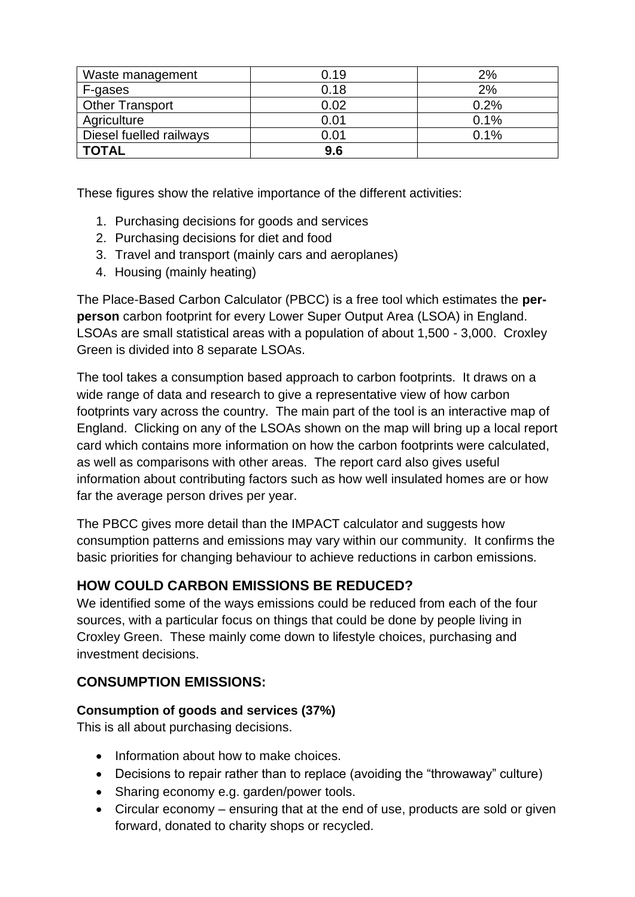| Waste management        | 0.19 | 2%   |
|-------------------------|------|------|
| F-gases                 | 0.18 | 2%   |
| <b>Other Transport</b>  | 0.02 | 0.2% |
| Agriculture             | 0.01 | 0.1% |
| Diesel fuelled railways | 0.01 | 0.1% |
| <b>TOTAL</b>            | 9.6  |      |

These figures show the relative importance of the different activities:

- 1. Purchasing decisions for goods and services
- 2. Purchasing decisions for diet and food
- 3. Travel and transport (mainly cars and aeroplanes)
- 4. Housing (mainly heating)

The Place-Based Carbon Calculator (PBCC) is a free tool which estimates the **perperson** carbon footprint for every Lower Super Output Area (LSOA) in England. LSOAs are small statistical areas with a population of about 1,500 - 3,000. Croxley Green is divided into 8 separate LSOAs.

The tool takes a consumption based approach to carbon footprints. It draws on a wide range of data and research to give a representative view of how carbon footprints vary across the country. The main part of the tool is an interactive map of England. Clicking on any of the LSOAs shown on the map will bring up a local report card which contains more information on how the carbon footprints were calculated, as well as comparisons with other areas. The report card also gives useful information about contributing factors such as how well insulated homes are or how far the average person drives per year.

The PBCC gives more detail than the IMPACT calculator and suggests how consumption patterns and emissions may vary within our community. It confirms the basic priorities for changing behaviour to achieve reductions in carbon emissions.

# **HOW COULD CARBON EMISSIONS BE REDUCED?**

We identified some of the ways emissions could be reduced from each of the four sources, with a particular focus on things that could be done by people living in Croxley Green. These mainly come down to lifestyle choices, purchasing and investment decisions.

# **CONSUMPTION EMISSIONS:**

# **Consumption of goods and services (37%)**

This is all about purchasing decisions.

- Information about how to make choices.
- Decisions to repair rather than to replace (avoiding the "throwaway" culture)
- Sharing economy e.g. garden/power tools.
- Circular economy ensuring that at the end of use, products are sold or given forward, donated to charity shops or recycled.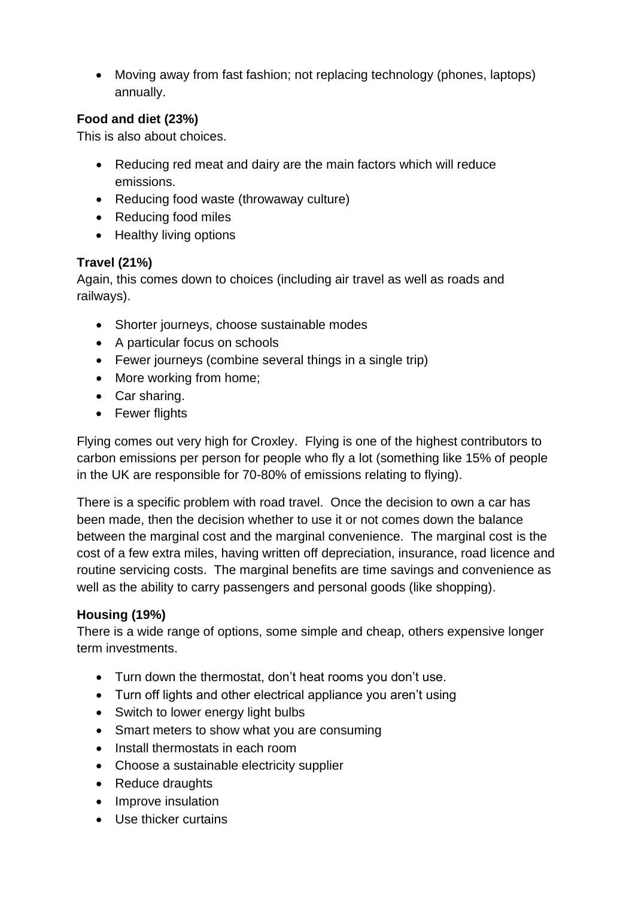• Moving away from fast fashion; not replacing technology (phones, laptops) annually.

# **Food and diet (23%)**

This is also about choices.

- Reducing red meat and dairy are the main factors which will reduce emissions.
- Reducing food waste (throwaway culture)
- Reducing food miles
- Healthy living options

## **Travel (21%)**

Again, this comes down to choices (including air travel as well as roads and railways).

- Shorter journeys, choose sustainable modes
- A particular focus on schools
- Fewer journeys (combine several things in a single trip)
- More working from home;
- Car sharing.
- Fewer flights

Flying comes out very high for Croxley. Flying is one of the highest contributors to carbon emissions per person for people who fly a lot (something like 15% of people in the UK are responsible for 70-80% of emissions relating to flying).

There is a specific problem with road travel. Once the decision to own a car has been made, then the decision whether to use it or not comes down the balance between the marginal cost and the marginal convenience. The marginal cost is the cost of a few extra miles, having written off depreciation, insurance, road licence and routine servicing costs. The marginal benefits are time savings and convenience as well as the ability to carry passengers and personal goods (like shopping).

## **Housing (19%)**

There is a wide range of options, some simple and cheap, others expensive longer term investments.

- Turn down the thermostat, don't heat rooms you don't use.
- Turn off lights and other electrical appliance you aren't using
- Switch to lower energy light bulbs
- Smart meters to show what you are consuming
- Install thermostats in each room
- Choose a sustainable electricity supplier
- Reduce draughts
- Improve insulation
- Use thicker curtains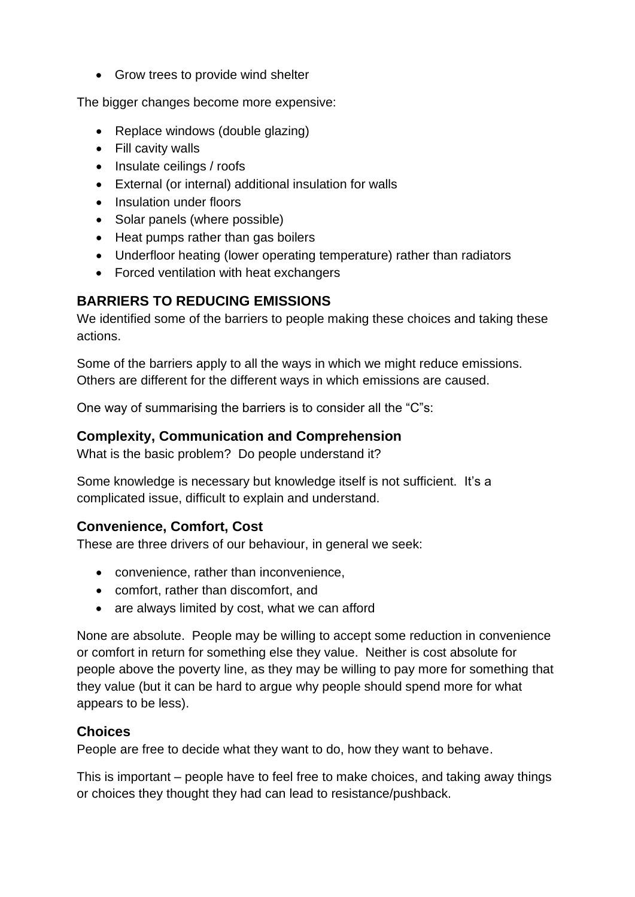• Grow trees to provide wind shelter

The bigger changes become more expensive:

- Replace windows (double glazing)
- Fill cavity walls
- Insulate ceilings / roofs
- External (or internal) additional insulation for walls
- Insulation under floors
- Solar panels (where possible)
- Heat pumps rather than gas boilers
- Underfloor heating (lower operating temperature) rather than radiators
- Forced ventilation with heat exchangers

# **BARRIERS TO REDUCING EMISSIONS**

We identified some of the barriers to people making these choices and taking these actions.

Some of the barriers apply to all the ways in which we might reduce emissions. Others are different for the different ways in which emissions are caused.

One way of summarising the barriers is to consider all the "C"s:

## **Complexity, Communication and Comprehension**

What is the basic problem? Do people understand it?

Some knowledge is necessary but knowledge itself is not sufficient. It's a complicated issue, difficult to explain and understand.

# **Convenience, Comfort, Cost**

These are three drivers of our behaviour, in general we seek:

- convenience, rather than inconvenience,
- comfort, rather than discomfort, and
- are always limited by cost, what we can afford

None are absolute. People may be willing to accept some reduction in convenience or comfort in return for something else they value. Neither is cost absolute for people above the poverty line, as they may be willing to pay more for something that they value (but it can be hard to argue why people should spend more for what appears to be less).

## **Choices**

People are free to decide what they want to do, how they want to behave.

This is important – people have to feel free to make choices, and taking away things or choices they thought they had can lead to resistance/pushback.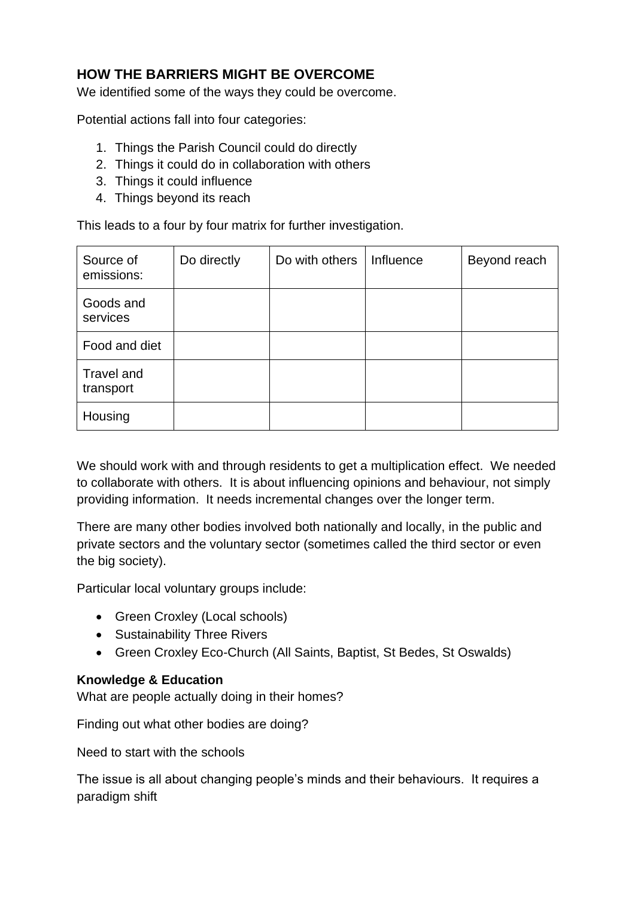# **HOW THE BARRIERS MIGHT BE OVERCOME**

We identified some of the ways they could be overcome.

Potential actions fall into four categories:

- 1. Things the Parish Council could do directly
- 2. Things it could do in collaboration with others
- 3. Things it could influence
- 4. Things beyond its reach

This leads to a four by four matrix for further investigation.

| Source of<br>emissions: | Do directly | Do with others | Influence | Beyond reach |
|-------------------------|-------------|----------------|-----------|--------------|
| Goods and<br>services   |             |                |           |              |
| Food and diet           |             |                |           |              |
| Travel and<br>transport |             |                |           |              |
| Housing                 |             |                |           |              |

We should work with and through residents to get a multiplication effect. We needed to collaborate with others. It is about influencing opinions and behaviour, not simply providing information. It needs incremental changes over the longer term.

There are many other bodies involved both nationally and locally, in the public and private sectors and the voluntary sector (sometimes called the third sector or even the big society).

Particular local voluntary groups include:

- Green Croxley (Local schools)
- Sustainability Three Rivers
- Green Croxley Eco-Church (All Saints, Baptist, St Bedes, St Oswalds)

### **Knowledge & Education**

What are people actually doing in their homes?

Finding out what other bodies are doing?

Need to start with the schools

The issue is all about changing people's minds and their behaviours. It requires a paradigm shift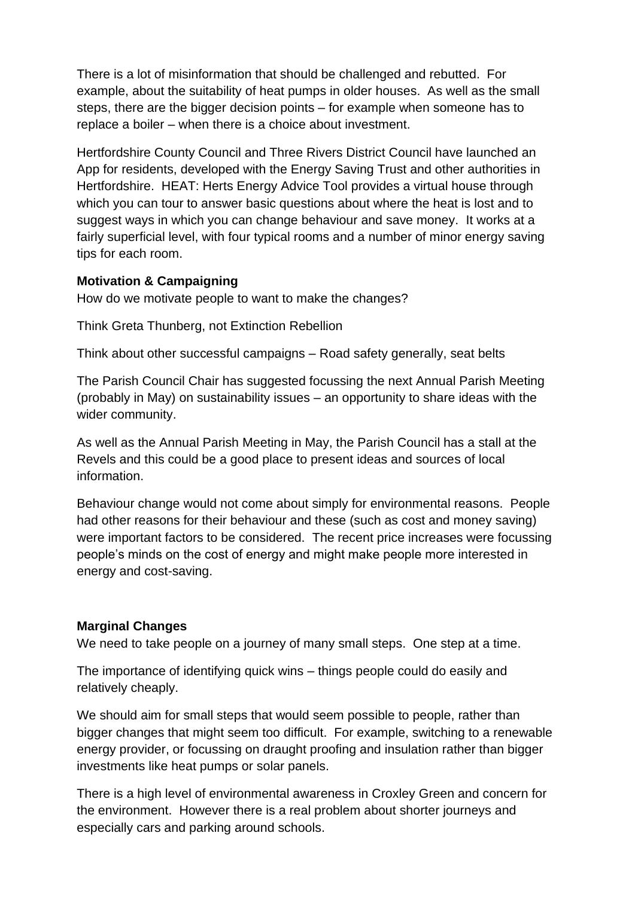There is a lot of misinformation that should be challenged and rebutted. For example, about the suitability of heat pumps in older houses. As well as the small steps, there are the bigger decision points – for example when someone has to replace a boiler – when there is a choice about investment.

Hertfordshire County Council and Three Rivers District Council have launched an App for residents, developed with the Energy Saving Trust and other authorities in Hertfordshire. HEAT: Herts Energy Advice Tool provides a virtual house through which you can tour to answer basic questions about where the heat is lost and to suggest ways in which you can change behaviour and save money. It works at a fairly superficial level, with four typical rooms and a number of minor energy saving tips for each room.

### **Motivation & Campaigning**

How do we motivate people to want to make the changes?

Think Greta Thunberg, not Extinction Rebellion

Think about other successful campaigns – Road safety generally, seat belts

The Parish Council Chair has suggested focussing the next Annual Parish Meeting (probably in May) on sustainability issues – an opportunity to share ideas with the wider community.

As well as the Annual Parish Meeting in May, the Parish Council has a stall at the Revels and this could be a good place to present ideas and sources of local information.

Behaviour change would not come about simply for environmental reasons. People had other reasons for their behaviour and these (such as cost and money saving) were important factors to be considered. The recent price increases were focussing people's minds on the cost of energy and might make people more interested in energy and cost-saving.

### **Marginal Changes**

We need to take people on a journey of many small steps. One step at a time.

The importance of identifying quick wins – things people could do easily and relatively cheaply.

We should aim for small steps that would seem possible to people, rather than bigger changes that might seem too difficult. For example, switching to a renewable energy provider, or focussing on draught proofing and insulation rather than bigger investments like heat pumps or solar panels.

There is a high level of environmental awareness in Croxley Green and concern for the environment. However there is a real problem about shorter journeys and especially cars and parking around schools.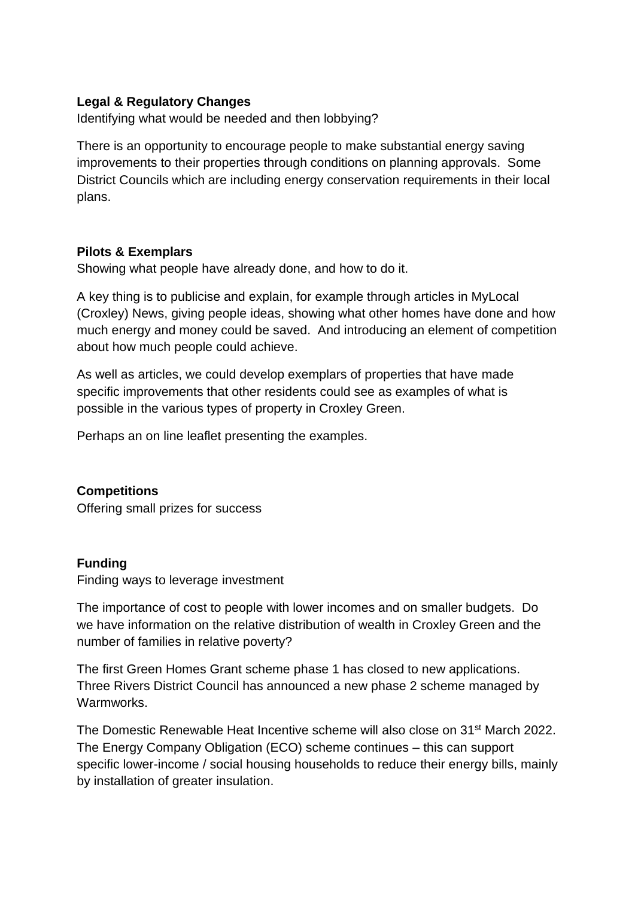## **Legal & Regulatory Changes**

Identifying what would be needed and then lobbying?

There is an opportunity to encourage people to make substantial energy saving improvements to their properties through conditions on planning approvals. Some District Councils which are including energy conservation requirements in their local plans.

### **Pilots & Exemplars**

Showing what people have already done, and how to do it.

A key thing is to publicise and explain, for example through articles in MyLocal (Croxley) News, giving people ideas, showing what other homes have done and how much energy and money could be saved. And introducing an element of competition about how much people could achieve.

As well as articles, we could develop exemplars of properties that have made specific improvements that other residents could see as examples of what is possible in the various types of property in Croxley Green.

Perhaps an on line leaflet presenting the examples.

**Competitions**  Offering small prizes for success

### **Funding**

Finding ways to leverage investment

The importance of cost to people with lower incomes and on smaller budgets. Do we have information on the relative distribution of wealth in Croxley Green and the number of families in relative poverty?

The first Green Homes Grant scheme phase 1 has closed to new applications. Three Rivers District Council has announced a new phase 2 scheme managed by Warmworks.

The Domestic Renewable Heat Incentive scheme will also close on 31<sup>st</sup> March 2022. The Energy Company Obligation (ECO) scheme continues – this can support specific lower-income / social housing households to reduce their energy bills, mainly by installation of greater insulation.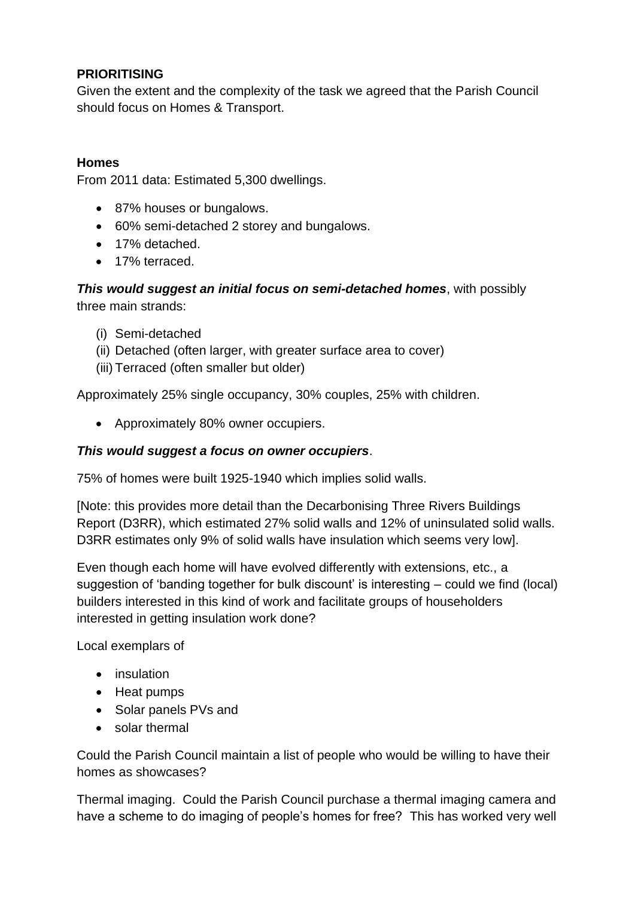## **PRIORITISING**

Given the extent and the complexity of the task we agreed that the Parish Council should focus on Homes & Transport.

## **Homes**

From 2011 data: Estimated 5,300 dwellings.

- 87% houses or bungalows.
- 60% semi-detached 2 storey and bungalows.
- 17% detached.
- 17% terraced.

*This would suggest an initial focus on semi-detached homes*, with possibly three main strands:

- (i) Semi-detached
- (ii) Detached (often larger, with greater surface area to cover)
- (iii) Terraced (often smaller but older)

Approximately 25% single occupancy, 30% couples, 25% with children.

• Approximately 80% owner occupiers.

## *This would suggest a focus on owner occupiers*.

75% of homes were built 1925-1940 which implies solid walls.

[Note: this provides more detail than the Decarbonising Three Rivers Buildings Report (D3RR), which estimated 27% solid walls and 12% of uninsulated solid walls. D3RR estimates only 9% of solid walls have insulation which seems very low].

Even though each home will have evolved differently with extensions, etc., a suggestion of 'banding together for bulk discount' is interesting – could we find (local) builders interested in this kind of work and facilitate groups of householders interested in getting insulation work done?

Local exemplars of

- insulation
- Heat pumps
- Solar panels PVs and
- solar thermal

Could the Parish Council maintain a list of people who would be willing to have their homes as showcases?

Thermal imaging. Could the Parish Council purchase a thermal imaging camera and have a scheme to do imaging of people's homes for free? This has worked very well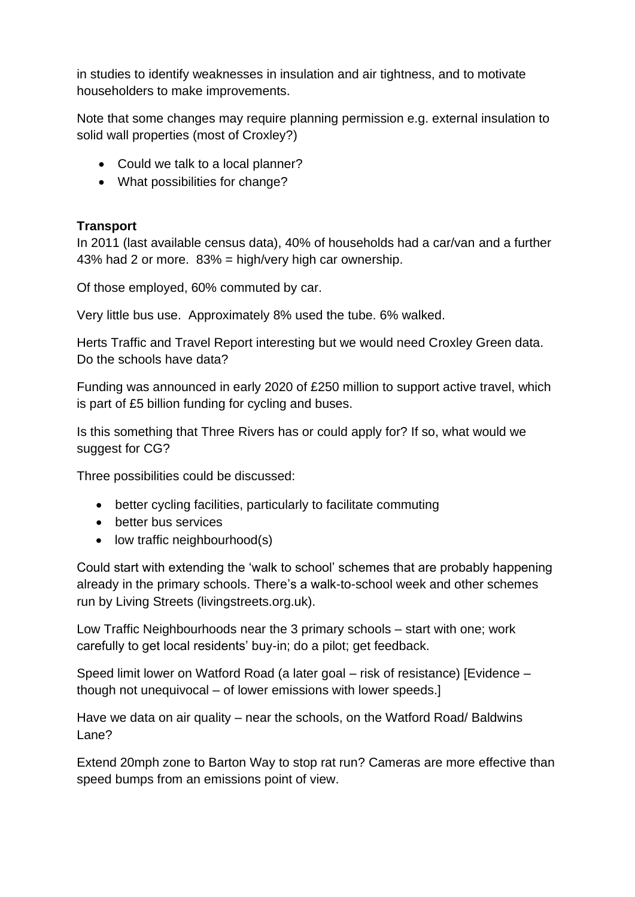in studies to identify weaknesses in insulation and air tightness, and to motivate householders to make improvements.

Note that some changes may require planning permission e.g. external insulation to solid wall properties (most of Croxley?)

- Could we talk to a local planner?
- What possibilities for change?

## **Transport**

In 2011 (last available census data), 40% of households had a car/van and a further 43% had 2 or more. 83% = high/very high car ownership.

Of those employed, 60% commuted by car.

Very little bus use. Approximately 8% used the tube. 6% walked.

Herts Traffic and Travel Report interesting but we would need Croxley Green data. Do the schools have data?

Funding was announced in early 2020 of £250 million to support active travel, which is part of £5 billion funding for cycling and buses.

Is this something that Three Rivers has or could apply for? If so, what would we suggest for CG?

Three possibilities could be discussed:

- better cycling facilities, particularly to facilitate commuting
- better bus services
- low traffic neighbourhood(s)

Could start with extending the 'walk to school' schemes that are probably happening already in the primary schools. There's a walk-to-school week and other schemes run by Living Streets (livingstreets.org.uk).

Low Traffic Neighbourhoods near the 3 primary schools – start with one; work carefully to get local residents' buy-in; do a pilot; get feedback.

Speed limit lower on Watford Road (a later goal – risk of resistance) [Evidence – though not unequivocal – of lower emissions with lower speeds.]

Have we data on air quality – near the schools, on the Watford Road/ Baldwins Lane?

Extend 20mph zone to Barton Way to stop rat run? Cameras are more effective than speed bumps from an emissions point of view.